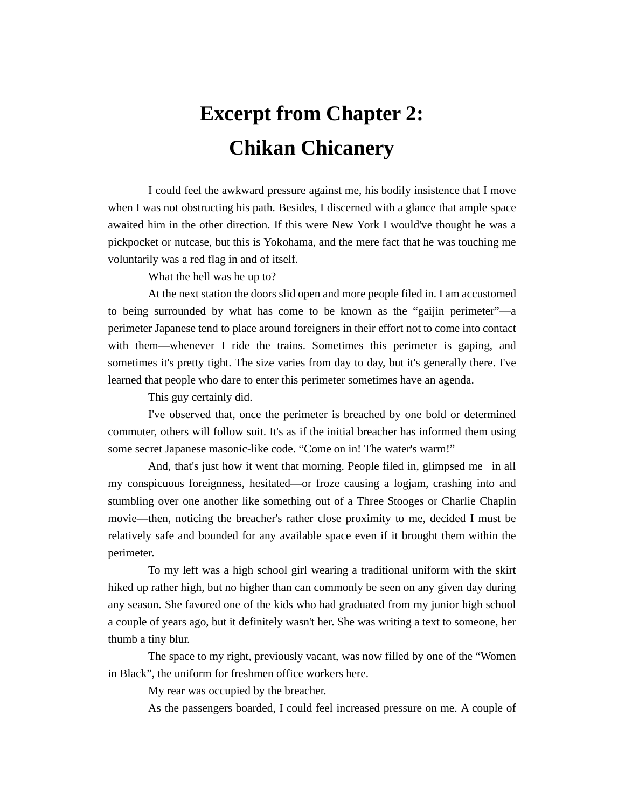## **Excerpt from Chapter 2: Chikan Chicanery**

I could feel the awkward pressure against me, his bodily insistence that I move when I was not obstructing his path. Besides, I discerned with a glance that ample space awaited him in the other direction. If this were New York I would've thought he was a pickpocket or nutcase, but this is Yokohama, and the mere fact that he was touching me voluntarily was a red flag in and of itself.

What the hell was he up to?

At the next station the doors slid open and more people filed in. I am accustomed to being surrounded by what has come to be known as the "gaijin perimeter"—a perimeter Japanese tend to place around foreigners in their effort not to come into contact with them—whenever I ride the trains. Sometimes this perimeter is gaping, and sometimes it's pretty tight. The size varies from day to day, but it's generally there. I've learned that people who dare to enter this perimeter sometimes have an agenda.

This guy certainly did.

I've observed that, once the perimeter is breached by one bold or determined commuter, others will follow suit. It's as if the initial breacher has informed them using some secret Japanese masonic-like code. "Come on in! The water's warm!"

And, that's just how it went that morning. People filed in, glimpsed me in all my conspicuous foreignness, hesitated—or froze causing a logjam, crashing into and stumbling over one another like something out of a Three Stooges or Charlie Chaplin movie—then, noticing the breacher's rather close proximity to me, decided I must be relatively safe and bounded for any available space even if it brought them within the perimeter.

To my left was a high school girl wearing a traditional uniform with the skirt hiked up rather high, but no higher than can commonly be seen on any given day during any season. She favored one of the kids who had graduated from my junior high school a couple of years ago, but it definitely wasn't her. She was writing a text to someone, her thumb a tiny blur.

The space to my right, previously vacant, was now filled by one of the "Women in Black", the uniform for freshmen office workers here.

My rear was occupied by the breacher.

As the passengers boarded, I could feel increased pressure on me. A couple of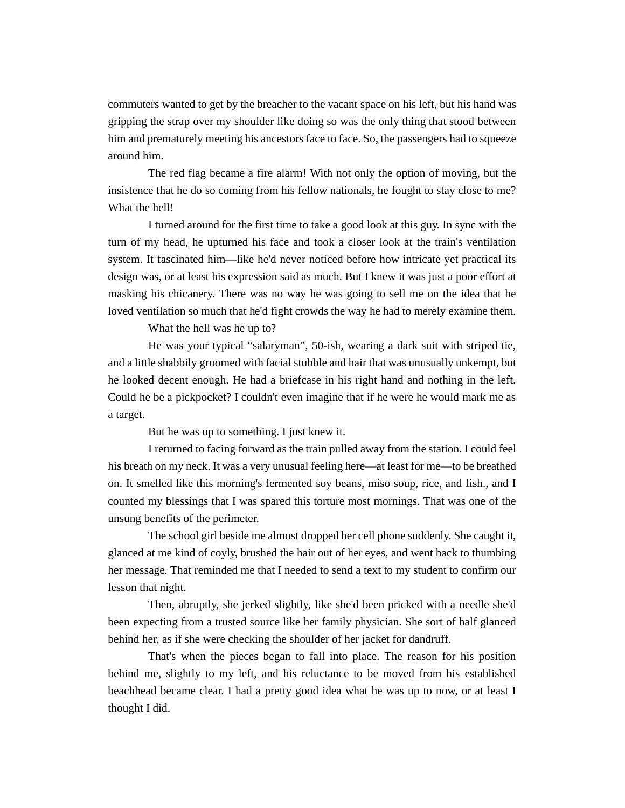commuters wanted to get by the breacher to the vacant space on his left, but his hand was gripping the strap over my shoulder like doing so was the only thing that stood between him and prematurely meeting his ancestors face to face. So, the passengers had to squeeze around him.

The red flag became a fire alarm! With not only the option of moving, but the insistence that he do so coming from his fellow nationals, he fought to stay close to me? What the hell!

I turned around for the first time to take a good look at this guy. In sync with the turn of my head, he upturned his face and took a closer look at the train's ventilation system. It fascinated him—like he'd never noticed before how intricate yet practical its design was, or at least his expression said as much. But I knew it was just a poor effort at masking his chicanery. There was no way he was going to sell me on the idea that he loved ventilation so much that he'd fight crowds the way he had to merely examine them.

What the hell was he up to?

He was your typical "salaryman", 50-ish, wearing a dark suit with striped tie, and a little shabbily groomed with facial stubble and hair that was unusually unkempt, but he looked decent enough. He had a briefcase in his right hand and nothing in the left. Could he be a pickpocket? I couldn't even imagine that if he were he would mark me as a target.

But he was up to something. I just knew it.

I returned to facing forward as the train pulled away from the station. I could feel his breath on my neck. It was a very unusual feeling here—at least for me—to be breathed on. It smelled like this morning's fermented soy beans, miso soup, rice, and fish., and I counted my blessings that I was spared this torture most mornings. That was one of the unsung benefits of the perimeter.

The school girl beside me almost dropped her cell phone suddenly. She caught it, glanced at me kind of coyly, brushed the hair out of her eyes, and went back to thumbing her message. That reminded me that I needed to send a text to my student to confirm our lesson that night.

Then, abruptly, she jerked slightly, like she'd been pricked with a needle she'd been expecting from a trusted source like her family physician. She sort of half glanced behind her, as if she were checking the shoulder of her jacket for dandruff.

That's when the pieces began to fall into place. The reason for his position behind me, slightly to my left, and his reluctance to be moved from his established beachhead became clear. I had a pretty good idea what he was up to now, or at least I thought I did.